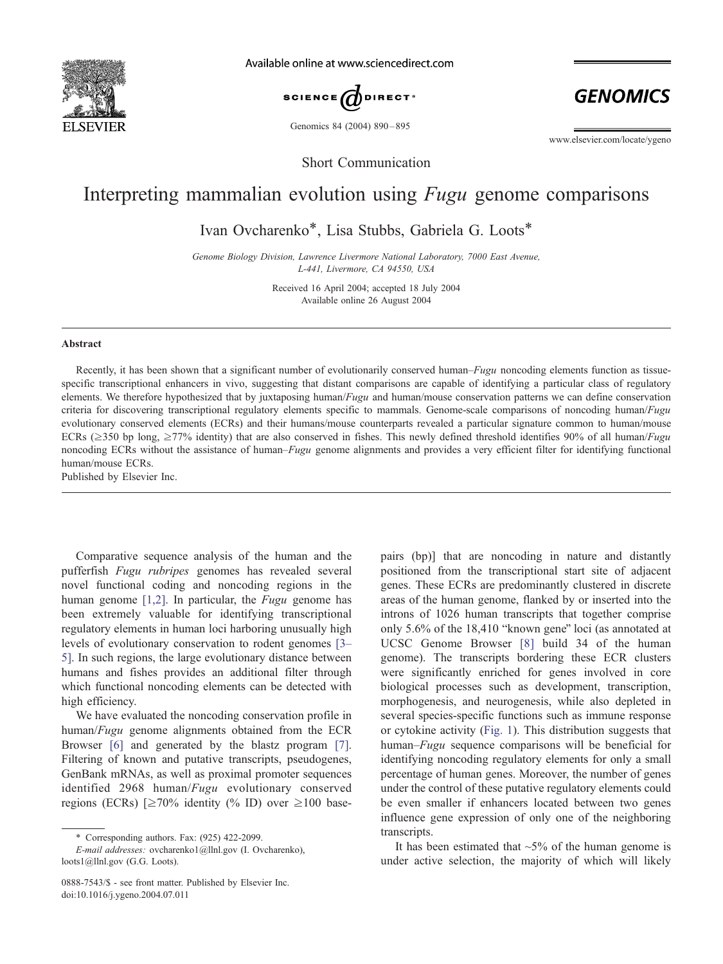

Available online at www.sciencedirect.com



Genomics 84 (2004) 890-895

**GENOMICS** 

www.elsevier.com/locate/ygeno

Short Communication

## Interpreting mammalian evolution using Fugu genome comparisons

Ivan Ovcharenko\*, Lisa Stubbs, Gabriela G. Loots\*

Genome Biology Division, Lawrence Livermore National Laboratory, 7000 East Avenue, L-441, Livermore, CA 94550, USA

> Received 16 April 2004; accepted 18 July 2004 Available online 26 August 2004

## Abstract

Recently, it has been shown that a significant number of evolutionarily conserved human–Fugu noncoding elements function as tissuespecific transcriptional enhancers in vivo, suggesting that distant comparisons are capable of identifying a particular class of regulatory elements. We therefore hypothesized that by juxtaposing human/Fugu and human/mouse conservation patterns we can define conservation criteria for discovering transcriptional regulatory elements specific to mammals. Genome-scale comparisons of noncoding human/Fugu evolutionary conserved elements (ECRs) and their humans/mouse counterparts revealed a particular signature common to human/mouse ECRs ( $\geq$ 350 bp long,  $\geq$ 77% identity) that are also conserved in fishes. This newly defined threshold identifies 90% of all human/*Fugu* noncoding ECRs without the assistance of human–Fugu genome alignments and provides a very efficient filter for identifying functional human/mouse ECRs.

Published by Elsevier Inc.

Comparative sequence analysis of the human and the pufferfish Fugu rubripes genomes has revealed several novel functional coding and noncoding regions in the human genome  $[1,2]$ . In particular, the *Fugu* genome has been extremely valuable for identifying transcriptional regulatory elements in human loci harboring unusually high levels of evolutionary conservation to rodent genomes [\[3–](#page-4-0) 5]. In such regions, the large evolutionary distance between humans and fishes provides an additional filter through which functional noncoding elements can be detected with high efficiency.

We have evaluated the noncoding conservation profile in human/Fugu genome alignments obtained from the ECR Browser [\[6\]](#page-4-0) and generated by the blastz program [\[7\].](#page-4-0) Filtering of known and putative transcripts, pseudogenes, GenBank mRNAs, as well as proximal promoter sequences identified 2968 human/Fugu evolutionary conserved regions (ECRs)  $\geq 70\%$  identity (% ID) over  $\geq 100$  basepairs (bp)] that are noncoding in nature and distantly positioned from the transcriptional start site of adjacent genes. These ECRs are predominantly clustered in discrete areas of the human genome, flanked by or inserted into the introns of 1026 human transcripts that together comprise only  $5.6\%$  of the  $18,410$  "known gene" loci (as annotated at UCSC Genome Browser [\[8\]](#page-4-0) build 34 of the human genome). The transcripts bordering these ECR clusters were significantly enriched for genes involved in core biological processes such as development, transcription, morphogenesis, and neurogenesis, while also depleted in several species-specific functions such as immune response or cytokine activity ([Fig. 1\)](#page-1-0). This distribution suggests that human–Fugu sequence comparisons will be beneficial for identifying noncoding regulatory elements for only a small percentage of human genes. Moreover, the number of genes under the control of these putative regulatory elements could be even smaller if enhancers located between two genes influence gene expression of only one of the neighboring transcripts.

It has been estimated that  $\sim$ 5% of the human genome is under active selection, the majority of which will likely

<sup>\*</sup> Corresponding authors. Fax: (925) 422-2099.

E-mail addresses: ovcharenko1@llnl.gov (I. Ovcharenko), loots1@llnl.gov (G.G. Loots).

<sup>0888-7543/\$ -</sup> see front matter. Published by Elsevier Inc. doi:10.1016/j.ygeno.2004.07.011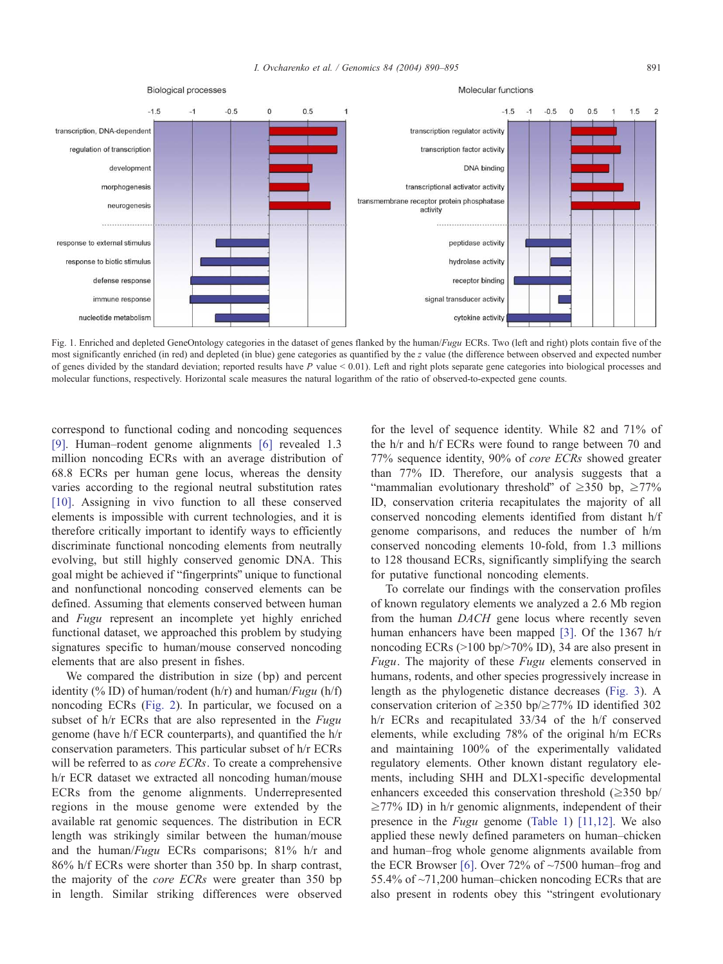<span id="page-1-0"></span>

Fig. 1. Enriched and depleted GeneOntology categories in the dataset of genes flanked by the human/Fugu ECRs. Two (left and right) plots contain five of the most significantly enriched (in red) and depleted (in blue) gene categories as quantified by the z value (the difference between observed and expected number of genes divided by the standard deviation; reported results have P value  $\leq 0.01$ ). Left and right plots separate gene categories into biological processes and molecular functions, respectively. Horizontal scale measures the natural logarithm of the ratio of observed-to-expected gene counts.

correspond to functional coding and noncoding sequences [\[9\].](#page-4-0) Human–rodent genome alignments [\[6\]](#page-4-0) revealed 1.3 million noncoding ECRs with an average distribution of 68.8 ECRs per human gene locus, whereas the density varies according to the regional neutral substitution rates [\[10\].](#page-5-0) Assigning in vivo function to all these conserved elements is impossible with current technologies, and it is therefore critically important to identify ways to efficiently discriminate functional noncoding elements from neutrally evolving, but still highly conserved genomic DNA. This goal might be achieved if "fingerprints" unique to functional and nonfunctional noncoding conserved elements can be defined. Assuming that elements conserved between human and Fugu represent an incomplete yet highly enriched functional dataset, we approached this problem by studying signatures specific to human/mouse conserved noncoding elements that are also present in fishes.

We compared the distribution in size (bp) and percent identity (% ID) of human/rodent (h/r) and human/ $Fugu$  (h/f) noncoding ECRs ([Fig. 2\)](#page-2-0). In particular, we focused on a subset of h/r ECRs that are also represented in the Fugu genome (have h/f ECR counterparts), and quantified the h/r conservation parameters. This particular subset of h/r ECRs will be referred to as *core ECRs*. To create a comprehensive h/r ECR dataset we extracted all noncoding human/mouse ECRs from the genome alignments. Underrepresented regions in the mouse genome were extended by the available rat genomic sequences. The distribution in ECR length was strikingly similar between the human/mouse and the human/Fugu ECRs comparisons; 81% h/r and 86% h/f ECRs were shorter than 350 bp. In sharp contrast, the majority of the core ECRs were greater than 350 bp in length. Similar striking differences were observed

for the level of sequence identity. While 82 and 71% of the h/r and h/f ECRs were found to range between 70 and 77% sequence identity, 90% of core ECRs showed greater than 77% ID. Therefore, our analysis suggests that a "mammalian evolutionary threshold" of  $\geq$ 350 bp,  $\geq$ 77% ID, conservation criteria recapitulates the majority of all conserved noncoding elements identified from distant h/f genome comparisons, and reduces the number of h/m conserved noncoding elements 10-fold, from 1.3 millions to 128 thousand ECRs, significantly simplifying the search for putative functional noncoding elements.

To correlate our findings with the conservation profiles of known regulatory elements we analyzed a 2.6 Mb region from the human DACH gene locus where recently seven human enhancers have been mapped [\[3\].](#page-4-0) Of the 1367 h/r noncoding ECRs  $(>100 \text{ bp} \ge 70\% \text{ ID})$ , 34 are also present in Fugu. The majority of these Fugu elements conserved in humans, rodents, and other species progressively increase in length as the phylogenetic distance decreases ([Fig. 3\)](#page-3-0). A conservation criterion of  $\geq$ 350 bp/ $\geq$ 77% ID identified 302 h/r ECRs and recapitulated 33/34 of the h/f conserved elements, while excluding 78% of the original h/m ECRs and maintaining 100% of the experimentally validated regulatory elements. Other known distant regulatory elements, including SHH and DLX1-specific developmental enhancers exceeded this conservation threshold  $(\geq 350 \text{ bp/s})$  $\geq$ 77% ID) in h/r genomic alignments, independent of their presence in the Fugu genome ([Table 1\)](#page-4-0) [\[11,12\].](#page-5-0) We also applied these newly defined parameters on human–chicken and human–frog whole genome alignments available from the ECR Browser [\[6\].](#page-4-0) Over 72% of ~7500 human–frog and 55.4% of ~71,200 human–chicken noncoding ECRs that are also present in rodents obey this "stringent evolutionary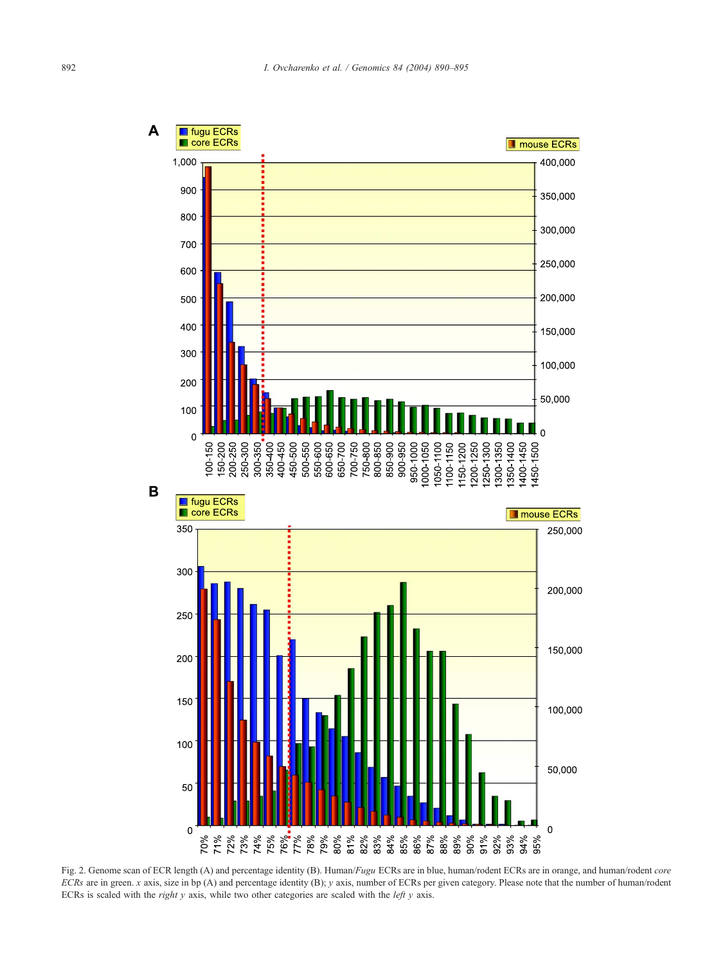<span id="page-2-0"></span>

Fig. 2. Genome scan of ECR length (A) and percentage identity (B). Human/Fugu ECRs are in blue, human/rodent ECRs are in orange, and human/rodent core  $ECRs$  are in green. x axis, size in bp (A) and percentage identity (B); y axis, number of ECRs per given category. Please note that the number of human/rodent ECRs is scaled with the *right y* axis, while two other categories are scaled with the *left y* axis.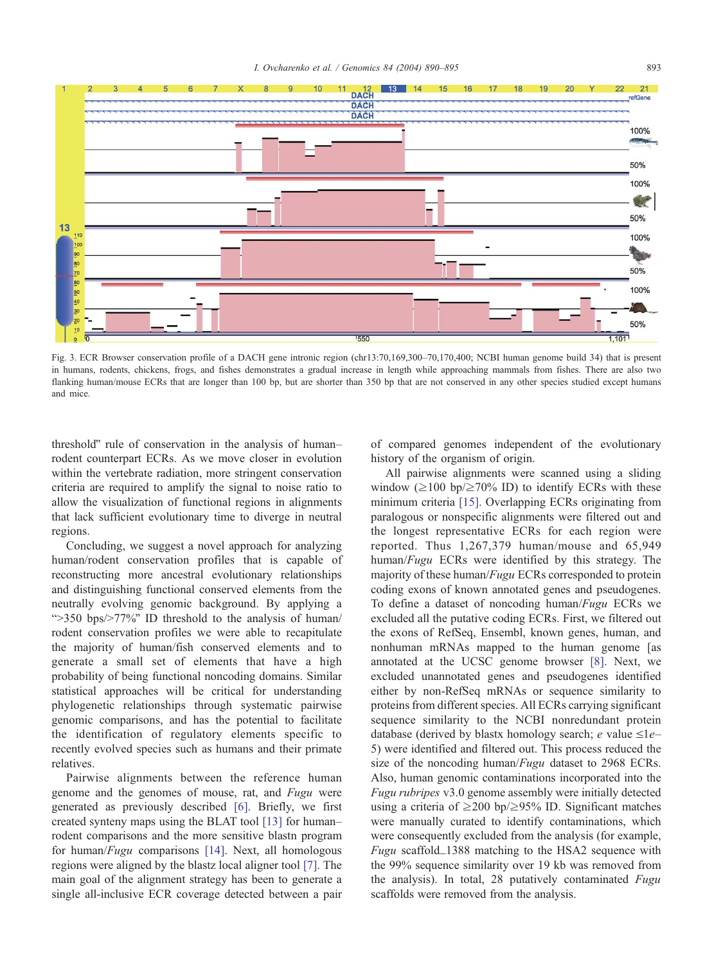<span id="page-3-0"></span>

Fig. 3. ECR Browser conservation profile of a DACH gene intronic region (chr13:70,169,300–70,170,400; NCBI human genome build 34) that is present in humans, rodents, chickens, frogs, and fishes demonstrates a gradual increase in length while approaching mammals from fishes. There are also two flanking human/mouse ECRs that are longer than 100 bp, but are shorter than 350 bp that are not conserved in any other species studied except humans and mice.

threshold" rule of conservation in the analysis of human– rodent counterpart ECRs. As we move closer in evolution within the vertebrate radiation, more stringent conservation criteria are required to amplify the signal to noise ratio to allow the visualization of functional regions in alignments that lack sufficient evolutionary time to diverge in neutral regions.

Concluding, we suggest a novel approach for analyzing human/rodent conservation profiles that is capable of reconstructing more ancestral evolutionary relationships and distinguishing functional conserved elements from the neutrally evolving genomic background. By applying a " $>350$  bps/ $>77\%$ " ID threshold to the analysis of human/ rodent conservation profiles we were able to recapitulate the majority of human/fish conserved elements and to generate a small set of elements that have a high probability of being functional noncoding domains. Similar statistical approaches will be critical for understanding phylogenetic relationships through systematic pairwise genomic comparisons, and has the potential to facilitate the identification of regulatory elements specific to recently evolved species such as humans and their primate relatives.

Pairwise alignments between the reference human genome and the genomes of mouse, rat, and Fugu were generated as previously described [\[6\].](#page-4-0) Briefly, we first created synteny maps using the BLAT tool [\[13\]](#page-5-0) for human– rodent comparisons and the more sensitive blastn program for human/*Fugu* comparisons [\[14\].](#page-5-0) Next, all homologous regions were aligned by the blastz local aligner tool [\[7\].](#page-4-0) The main goal of the alignment strategy has been to generate a single all-inclusive ECR coverage detected between a pair of compared genomes independent of the evolutionary history of the organism of origin.

All pairwise alignments were scanned using a sliding window  $(\geq 100 \text{ bp}/\geq 70\% \text{ ID})$  to identify ECRs with these minimum criteria [\[15\].](#page-5-0) Overlapping ECRs originating from paralogous or nonspecific alignments were filtered out and the longest representative ECRs for each region were reported. Thus 1,267,379 human/mouse and 65,949 human/Fugu ECRs were identified by this strategy. The majority of these human/*Fugu* ECRs corresponded to protein coding exons of known annotated genes and pseudogenes. To define a dataset of noncoding human/Fugu ECRs we excluded all the putative coding ECRs. First, we filtered out the exons of RefSeq, Ensembl, known genes, human, and nonhuman mRNAs mapped to the human genome [as annotated at the UCSC genome browser [\[8\].](#page-4-0) Next, we excluded unannotated genes and pseudogenes identified either by non-RefSeq mRNAs or sequence similarity to proteins from different species. All ECRs carrying significant sequence similarity to the NCBI nonredundant protein database (derived by blastx homology search; e value  $\leq$ 1e– 5) were identified and filtered out. This process reduced the size of the noncoding human/*Fugu* dataset to 2968 ECRs. Also, human genomic contaminations incorporated into the Fugu rubripes v3.0 genome assembly were initially detected using a criteria of  $\geq$ 200 bp/ $\geq$ 95% ID. Significant matches were manually curated to identify contaminations, which were consequently excluded from the analysis (for example, Fugu scaffold\_1388 matching to the HSA2 sequence with the 99% sequence similarity over 19 kb was removed from the analysis). In total, 28 putatively contaminated Fugu scaffolds were removed from the analysis.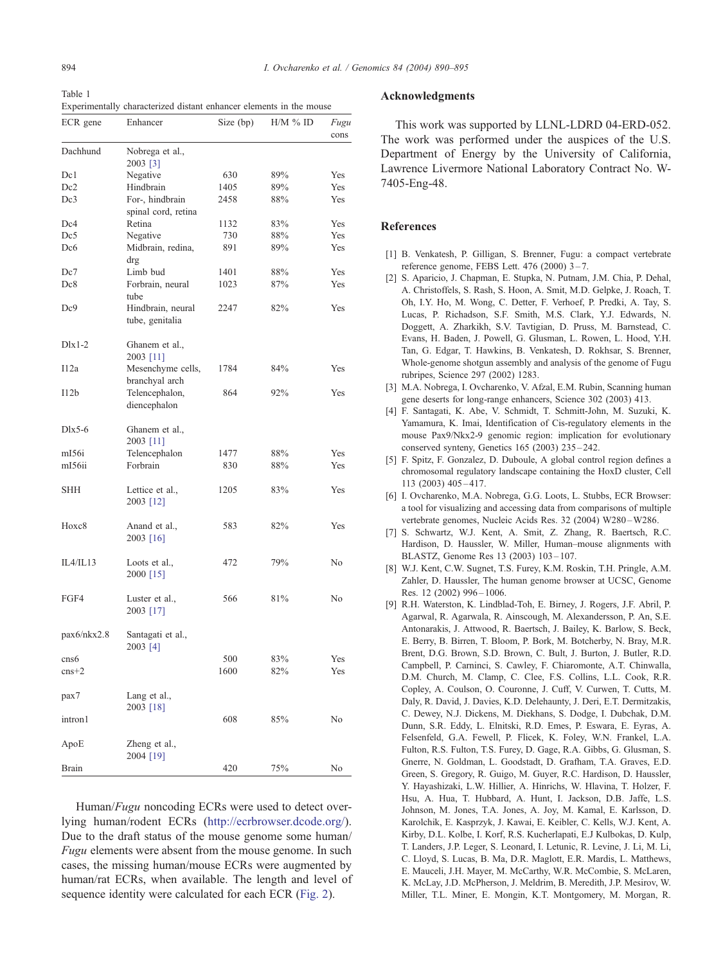<span id="page-4-0"></span>Table 1 Experimentally characterized distant enhancer elements in the mouse

| ECR gene          | Enhancer                                     | Size (bp) | H/M % ID | Fugu<br>cons   |
|-------------------|----------------------------------------------|-----------|----------|----------------|
| Dachhund          | Nobrega et al.,<br>2003 [3]                  |           |          |                |
| Dc1               | Negative                                     | 630       | 89%      | Yes            |
| Dc2               | Hindbrain                                    | 1405      | 89%      | Yes            |
| Dc3               | For-, hindbrain                              | 2458      | 88%      | Yes            |
|                   | spinal cord, retina                          |           |          |                |
| Dc4               | Retina                                       | 1132      | 83%      | Yes            |
| Dc5               | Negative                                     | 730       | 88%      | Yes            |
| Dc6               | Midbrain, redina,<br>drg                     | 891       | 89%      | Yes            |
| Dc7               | Limb bud                                     | 1401      | 88%      | Yes            |
| Dc8               | Forbrain, neural                             | 1023      | 87%      | Yes            |
| Dc9               | tube<br>Hindbrain, neural<br>tube, genitalia | 2247      | 82%      | Yes            |
| $Dlx1-2$          | Ghanem et al.,<br>2003 [11]                  |           |          |                |
| I12a              | Mesenchyme cells,<br>branchyal arch          | 1784      | 84%      | Yes            |
| I12b              | Telencephalon,<br>diencephalon               | 864       | 92%      | Yes            |
| $Dlx5-6$          | Ghanem et al.,<br>2003 [11]                  |           |          |                |
| m <sub>I56i</sub> | Telencephalon                                | 1477      | 88%      | Yes            |
| mI56ii            | Forbrain                                     | 830       | 88%      | Yes            |
| SHH               | Lettice et al.,<br>2003 [12]                 | 1205      | 83%      | Yes            |
| Hoxc8             | Anand et al.,<br>$2003$ [16]                 | 583       | 82%      | Yes            |
| IL4/IL13          | Loots et al.,<br>2000 [15]                   | 472       | 79%      | No             |
| FGF4              | Luster et al.,<br>2003 [17]                  | 566       | 81%      | N <sub>0</sub> |
| pax6/nkx2.8       | Santagati et al.,<br>2003 [4]                |           |          |                |
| cns6              |                                              | 500       | 83%      | Yes            |
| $\text{cns+2}$    |                                              | 1600      | 82%      | Yes            |
| pax7              | Lang et al.,<br>2003 [18]                    |           |          |                |
| intron1           |                                              | 608       | $85\%$   | No             |
| ApoE              | Zheng et al.,<br>2004 [19]                   |           |          |                |
| <b>Brain</b>      |                                              | 420       | 75%      | No             |

Human/Fugu noncoding ECRs were used to detect overlying human/rodent ECRs ([http://ecrbrowser.dcode.org/\)]( http:\\ecrbrowser.dcode.org\ ). Due to the draft status of the mouse genome some human/ Fugu elements were absent from the mouse genome. In such cases, the missing human/mouse ECRs were augmented by human/rat ECRs, when available. The length and level of sequence identity were calculated for each ECR ([Fig. 2\)](#page-2-0).

## Acknowledgments

This work was supported by LLNL-LDRD 04-ERD-052. The work was performed under the auspices of the U.S. Department of Energy by the University of California, Lawrence Livermore National Laboratory Contract No. W-7405-Eng-48.

## References

- [1] B. Venkatesh, P. Gilligan, S. Brenner, Fugu: a compact vertebrate reference genome, FEBS Lett. 476 (2000) 3 – 7.
- [2] S. Aparicio, J. Chapman, E. Stupka, N. Putnam, J.M. Chia, P. Dehal, A. Christoffels, S. Rash, S. Hoon, A. Smit, M.D. Gelpke, J. Roach, T. Oh, I.Y. Ho, M. Wong, C. Detter, F. Verhoef, P. Predki, A. Tay, S. Lucas, P. Richadson, S.F. Smith, M.S. Clark, Y.J. Edwards, N. Doggett, A. Zharkikh, S.V. Tavtigian, D. Pruss, M. Barnstead, C. Evans, H. Baden, J. Powell, G. Glusman, L. Rowen, L. Hood, Y.H. Tan, G. Edgar, T. Hawkins, B. Venkatesh, D. Rokhsar, S. Brenner, Whole-genome shotgun assembly and analysis of the genome of Fugu rubripes, Science 297 (2002) 1283.
- [3] M.A. Nobrega, I. Ovcharenko, V. Afzal, E.M. Rubin, Scanning human gene deserts for long-range enhancers, Science 302 (2003) 413.
- [4] F. Santagati, K. Abe, V. Schmidt, T. Schmitt-John, M. Suzuki, K. Yamamura, K. Imai, Identification of Cis-regulatory elements in the mouse Pax9/Nkx2-9 genomic region: implication for evolutionary conserved synteny, Genetics 165 (2003) 235 – 242.
- [5] F. Spitz, F. Gonzalez, D. Duboule, A global control region defines a chromosomal regulatory landscape containing the HoxD cluster, Cell 113 (2003) 405 – 417.
- [6] I. Ovcharenko, M.A. Nobrega, G.G. Loots, L. Stubbs, ECR Browser: a tool for visualizing and accessing data from comparisons of multiple vertebrate genomes, Nucleic Acids Res. 32 (2004) W280-W286.
- [7] S. Schwartz, W.J. Kent, A. Smit, Z. Zhang, R. Baertsch, R.C. Hardison, D. Haussler, W. Miller, Human–mouse alignments with BLASTZ, Genome Res 13 (2003) 103 – 107.
- [8] W.J. Kent, C.W. Sugnet, T.S. Furey, K.M. Roskin, T.H. Pringle, A.M. Zahler, D. Haussler, The human genome browser at UCSC, Genome Res. 12 (2002) 996-1006.
- [9] R.H. Waterston, K. Lindblad-Toh, E. Birney, J. Rogers, J.F. Abril, P. Agarwal, R. Agarwala, R. Ainscough, M. Alexandersson, P. An, S.E. Antonarakis, J. Attwood, R. Baertsch, J. Bailey, K. Barlow, S. Beck, E. Berry, B. Birren, T. Bloom, P. Bork, M. Botcherby, N. Bray, M.R. Brent, D.G. Brown, S.D. Brown, C. Bult, J. Burton, J. Butler, R.D. Campbell, P. Carninci, S. Cawley, F. Chiaromonte, A.T. Chinwalla, D.M. Church, M. Clamp, C. Clee, F.S. Collins, L.L. Cook, R.R. Copley, A. Coulson, O. Couronne, J. Cuff, V. Curwen, T. Cutts, M. Daly, R. David, J. Davies, K.D. Delehaunty, J. Deri, E.T. Dermitzakis, C. Dewey, N.J. Dickens, M. Diekhans, S. Dodge, I. Dubchak, D.M. Dunn, S.R. Eddy, L. Elnitski, R.D. Emes, P. Eswara, E. Eyras, A. Felsenfeld, G.A. Fewell, P. Flicek, K. Foley, W.N. Frankel, L.A. Fulton, R.S. Fulton, T.S. Furey, D. Gage, R.A. Gibbs, G. Glusman, S. Gnerre, N. Goldman, L. Goodstadt, D. Grafham, T.A. Graves, E.D. Green, S. Gregory, R. Guigo, M. Guyer, R.C. Hardison, D. Haussler, Y. Hayashizaki, L.W. Hillier, A. Hinrichs, W. Hlavina, T. Holzer, F. Hsu, A. Hua, T. Hubbard, A. Hunt, I. Jackson, D.B. Jaffe, L.S. Johnson, M. Jones, T.A. Jones, A. Joy, M. Kamal, E. Karlsson, D. Karolchik, E. Kasprzyk, J. Kawai, E. Keibler, C. Kells, W.J. Kent, A. Kirby, D.L. Kolbe, I. Korf, R.S. Kucherlapati, E.J Kulbokas, D. Kulp, T. Landers, J.P. Leger, S. Leonard, I. Letunic, R. Levine, J. Li, M. Li, C. Lloyd, S. Lucas, B. Ma, D.R. Maglott, E.R. Mardis, L. Matthews, E. Mauceli, J.H. Mayer, M. McCarthy, W.R. McCombie, S. McLaren, K. McLay, J.D. McPherson, J. Meldrim, B. Meredith, J.P. Mesirov, W. Miller, T.L. Miner, E. Mongin, K.T. Montgomery, M. Morgan, R.